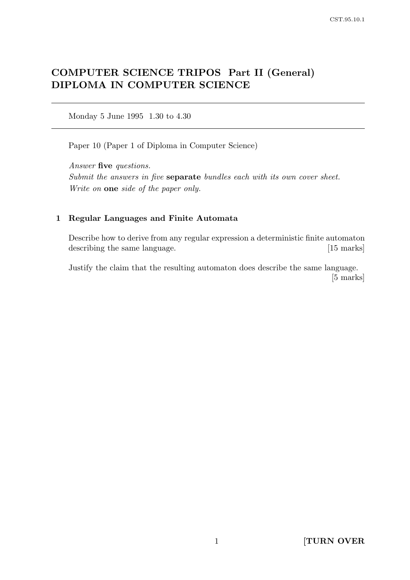# COMPUTER SCIENCE TRIPOS Part II (General) DIPLOMA IN COMPUTER SCIENCE

Monday 5 June 1995 1.30 to 4.30

Paper 10 (Paper 1 of Diploma in Computer Science)

Answer five questions. Submit the answers in five **separate** bundles each with its own cover sheet. Write on one side of the paper only.

### 1 Regular Languages and Finite Automata

Describe how to derive from any regular expression a deterministic finite automaton describing the same language. [15 marks]

Justify the claim that the resulting automaton does describe the same language. [5 marks]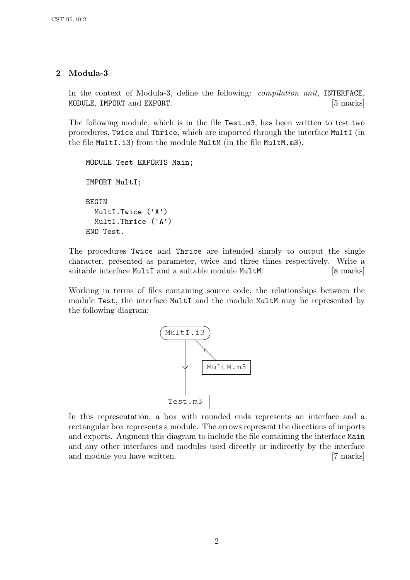# 2 Modula-3

In the context of Modula-3, define the following: *compilation unit*, INTERFACE, MODULE, IMPORT and EXPORT. [5 marks]

The following module, which is in the file Test.m3, has been written to test two procedures, Twice and Thrice, which are imported through the interface MultI (in the file MultI.i3) from the module MultM (in the file MultM.m3).

```
MODULE Test EXPORTS Main;
IMPORT MultI;
BEGIN
  MultI.Twice ('A')
  MultI.Thrice ('A')
END Test.
```
The procedures Twice and Thrice are intended simply to output the single character, presented as parameter, twice and three times respectively. Write a suitable interface MultI and a suitable module MultM. [8 marks]

Working in terms of files containing source code, the relationships between the module Test, the interface MultI and the module MultM may be represented by the following diagram:



In this representation, a box with rounded ends represents an interface and a rectangular box represents a module. The arrows represent the directions of imports and exports. Augment this diagram to include the file containing the interface Main and any other interfaces and modules used directly or indirectly by the interface and module you have written. [7 marks]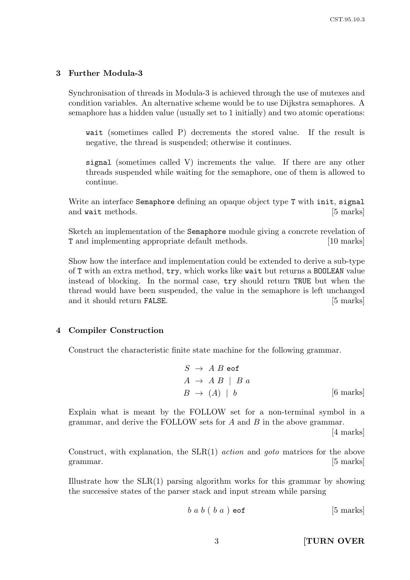### 3 Further Modula-3

Synchronisation of threads in Modula-3 is achieved through the use of mutexes and condition variables. An alternative scheme would be to use Dijkstra semaphores. A semaphore has a hidden value (usually set to 1 initially) and two atomic operations:

wait (sometimes called P) decrements the stored value. If the result is negative, the thread is suspended; otherwise it continues.

signal (sometimes called V) increments the value. If there are any other threads suspended while waiting for the semaphore, one of them is allowed to continue.

Write an interface Semaphore defining an opaque object type T with init, signal and wait methods. [5 marks]

Sketch an implementation of the Semaphore module giving a concrete revelation of T and implementing appropriate default methods. [10 marks]

Show how the interface and implementation could be extended to derive a sub-type of T with an extra method, try, which works like wait but returns a BOOLEAN value instead of blocking. In the normal case, try should return TRUE but when the thread would have been suspended, the value in the semaphore is left unchanged and it should return FALSE. [5 marks]

#### 4 Compiler Construction

Construct the characteristic finite state machine for the following grammar.

$$
S \rightarrow A B \text{ eof}
$$
  
\n
$$
A \rightarrow A B \mid B a
$$
  
\n
$$
B \rightarrow (A) \mid b
$$
 [6 marks]

Explain what is meant by the FOLLOW set for a non-terminal symbol in a grammar, and derive the FOLLOW sets for  $A$  and  $B$  in the above grammar.

[4 marks]

Construct, with explanation, the SLR(1) action and goto matrices for the above grammar. [5 marks]

Illustrate how the  $SLR(1)$  parsing algorithm works for this grammar by showing the successive states of the parser stack and input stream while parsing

$$
b \, a \, b \, (b \, a \, ) \, \text{eof} \tag{5 \, marks}
$$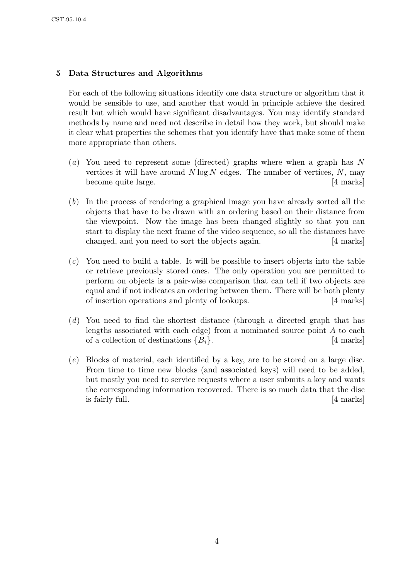### 5 Data Structures and Algorithms

For each of the following situations identify one data structure or algorithm that it would be sensible to use, and another that would in principle achieve the desired result but which would have significant disadvantages. You may identify standard methods by name and need not describe in detail how they work, but should make it clear what properties the schemes that you identify have that make some of them more appropriate than others.

- (a) You need to represent some (directed) graphs where when a graph has N vertices it will have around  $N \log N$  edges. The number of vertices,  $N$ , may become quite large. [4 marks]
- (b) In the process of rendering a graphical image you have already sorted all the objects that have to be drawn with an ordering based on their distance from the viewpoint. Now the image has been changed slightly so that you can start to display the next frame of the video sequence, so all the distances have changed, and you need to sort the objects again. [4 marks]
- (c) You need to build a table. It will be possible to insert objects into the table or retrieve previously stored ones. The only operation you are permitted to perform on objects is a pair-wise comparison that can tell if two objects are equal and if not indicates an ordering between them. There will be both plenty of insertion operations and plenty of lookups. [4 marks]
- (d) You need to find the shortest distance (through a directed graph that has lengths associated with each edge) from a nominated source point  $A$  to each of a collection of destinations  ${B_i}$ . [4 marks]
- (e) Blocks of material, each identified by a key, are to be stored on a large disc. From time to time new blocks (and associated keys) will need to be added, but mostly you need to service requests where a user submits a key and wants the corresponding information recovered. There is so much data that the disc is fairly full. [4 marks]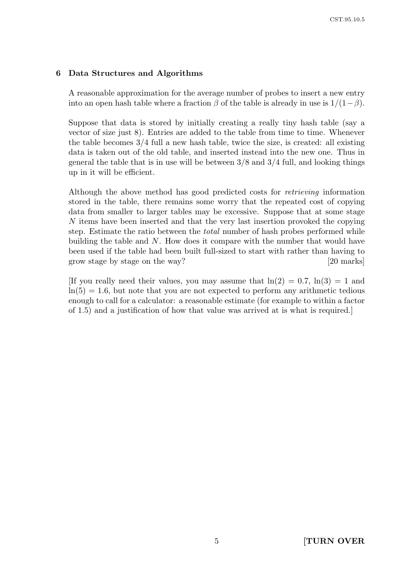#### 6 Data Structures and Algorithms

A reasonable approximation for the average number of probes to insert a new entry into an open hash table where a fraction  $\beta$  of the table is already in use is  $1/(1-\beta)$ .

Suppose that data is stored by initially creating a really tiny hash table (say a vector of size just 8). Entries are added to the table from time to time. Whenever the table becomes  $3/4$  full a new hash table, twice the size, is created: all existing data is taken out of the old table, and inserted instead into the new one. Thus in general the table that is in use will be between 3/8 and 3/4 full, and looking things up in it will be efficient.

Although the above method has good predicted costs for retrieving information stored in the table, there remains some worry that the repeated cost of copying data from smaller to larger tables may be excessive. Suppose that at some stage N items have been inserted and that the very last insertion provoked the copying step. Estimate the ratio between the total number of hash probes performed while building the table and N. How does it compare with the number that would have been used if the table had been built full-sized to start with rather than having to grow stage by stage on the way? [20 marks]

[If you really need their values, you may assume that  $ln(2) = 0.7$ ,  $ln(3) = 1$  and  $ln(5) = 1.6$ , but note that you are not expected to perform any arithmetic tedious enough to call for a calculator: a reasonable estimate (for example to within a factor of 1.5) and a justification of how that value was arrived at is what is required.]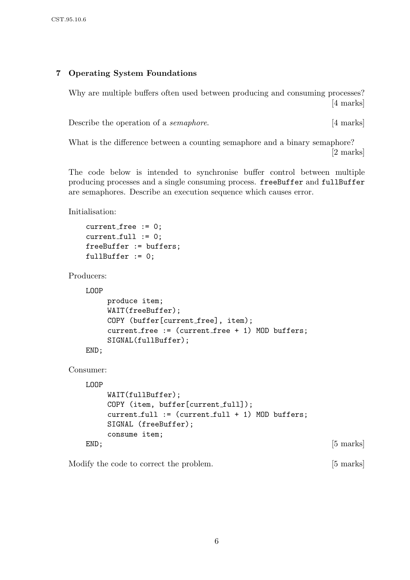# 7 Operating System Foundations

Why are multiple buffers often used between producing and consuming processes? [4 marks]

Describe the operation of a *semaphore*. [4 marks]

What is the difference between a counting semaphore and a binary semaphore? [2 marks]

The code below is intended to synchronise buffer control between multiple producing processes and a single consuming process. freeBuffer and fullBuffer are semaphores. Describe an execution sequence which causes error.

Initialisation:

```
current_free := 0;
current_full := 0;freeBuffer := buffers;
fullBuffer := 0;
```
Producers:

LOOP

```
produce item;
     WAIT(freeBuffer);
     COPY (buffer[current free], item);
     current free := (current free + 1) MOD buffers;
     SIGNAL(fullBuffer);
END;
```
Consumer:

```
LOOP
   WAIT(fullBuffer);
    COPY (item, buffer[current_full]);
    current_full := (current_full + 1) MOD buffers;SIGNAL (freeBuffer);
    consume item;
END; [5 \text{ marks}]
```
Modify the code to correct the problem. [5 marks]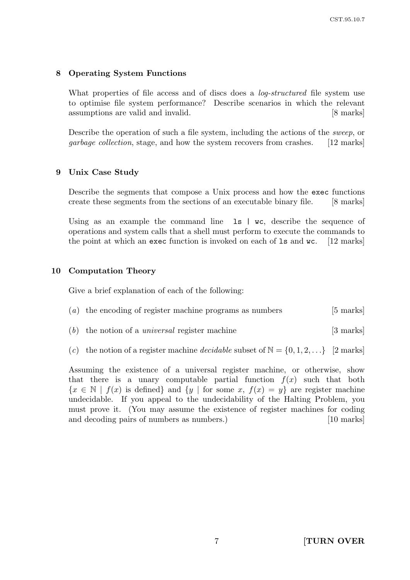#### 8 Operating System Functions

What properties of file access and of discs does a *log-structured* file system use to optimise file system performance? Describe scenarios in which the relevant assumptions are valid and invalid. [8 marks]

Describe the operation of such a file system, including the actions of the sweep, or garbage collection, stage, and how the system recovers from crashes. [12 marks]

#### 9 Unix Case Study

Describe the segments that compose a Unix process and how the exec functions create these segments from the sections of an executable binary file. [8 marks]

Using as an example the command line 1s | wc, describe the sequence of operations and system calls that a shell must perform to execute the commands to the point at which an exec function is invoked on each of ls and wc. [12 marks]

#### 10 Computation Theory

Give a brief explanation of each of the following:

- (a) the encoding of register machine programs as numbers  $[5 \text{ marks}]$
- (b) the notion of a *universal* register machine  $\left[3 \text{ marks}\right]$
- (c) the notion of a register machine *decidable* subset of  $\mathbb{N} = \{0, 1, 2, ...\}$  [2 marks]

Assuming the existence of a universal register machine, or otherwise, show that there is a unary computable partial function  $f(x)$  such that both  ${x \in \mathbb{N} \mid f(x) \text{ is defined}}$  and  ${y \mid \text{for some } x, f(x) = y}$  are register machine undecidable. If you appeal to the undecidability of the Halting Problem, you must prove it. (You may assume the existence of register machines for coding and decoding pairs of numbers as numbers.) [10 marks]